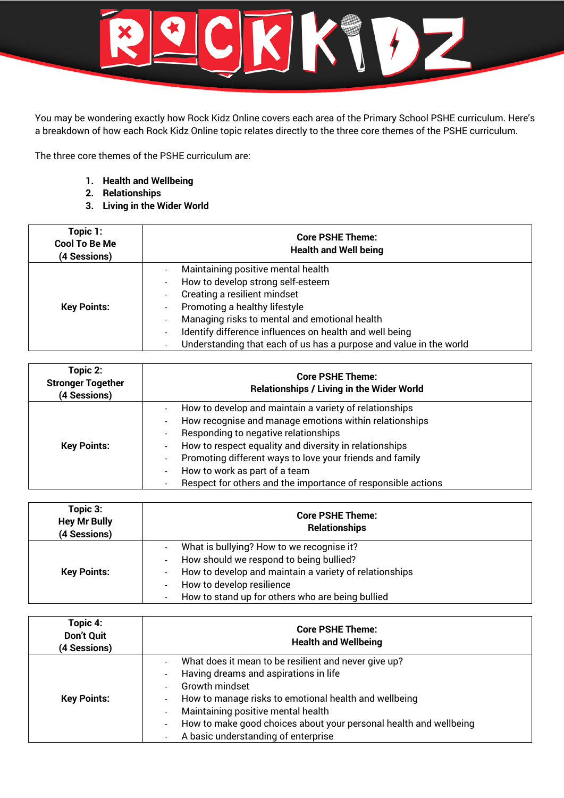

You may be wondering exactly how Rock Kidz Online covers each area of the Primary School PSHE curriculum. Here's a breakdown of how each Rock Kidz Online topic relates directly to the three core themes of the PSHE curriculum.

The three core themes of the PSHE curriculum are:

- **1. Health and Wellbeing**
- **2. Relationships**
- **3. Living in the Wider World**

| Topic 1:<br><b>Cool To Be Me</b><br>(4 Sessions) | <b>Core PSHE Theme:</b><br><b>Health and Well being</b>                                                                                                                                                                                                                                                                                                                                                                                                                                            |
|--------------------------------------------------|----------------------------------------------------------------------------------------------------------------------------------------------------------------------------------------------------------------------------------------------------------------------------------------------------------------------------------------------------------------------------------------------------------------------------------------------------------------------------------------------------|
| <b>Key Points:</b>                               | Maintaining positive mental health<br>How to develop strong self-esteem<br>$\overline{\phantom{a}}$<br>Creating a resilient mindset<br>$\overline{\phantom{a}}$<br>Promoting a healthy lifestyle<br>$\overline{\phantom{a}}$<br>Managing risks to mental and emotional health<br>$\overline{\phantom{a}}$<br>Identify difference influences on health and well being<br>$\overline{\phantom{a}}$<br>Understanding that each of us has a purpose and value in the world<br>$\overline{\phantom{a}}$ |

| Topic 2:<br><b>Stronger Together</b><br>(4 Sessions) | <b>Core PSHE Theme:</b><br><b>Relationships / Living in the Wider World</b>                                                                                                                                                                                                                                                                                                                                                                                                                                                                                      |
|------------------------------------------------------|------------------------------------------------------------------------------------------------------------------------------------------------------------------------------------------------------------------------------------------------------------------------------------------------------------------------------------------------------------------------------------------------------------------------------------------------------------------------------------------------------------------------------------------------------------------|
| <b>Key Points:</b>                                   | How to develop and maintain a variety of relationships<br>-<br>How recognise and manage emotions within relationships<br>$\overline{\phantom{a}}$<br>Responding to negative relationships<br>$\overline{\phantom{a}}$<br>How to respect equality and diversity in relationships<br>$\overline{\phantom{a}}$<br>Promoting different ways to love your friends and family<br>$\overline{\phantom{a}}$<br>How to work as part of a team<br>$\overline{\phantom{0}}$<br>Respect for others and the importance of responsible actions<br>$\qquad \qquad \blacksquare$ |

| Topic 3:<br><b>Hey Mr Bully</b><br>(4 Sessions) | <b>Core PSHE Theme:</b><br><b>Relationships</b>                                                                                                                                                                                                                                                                                                                                     |
|-------------------------------------------------|-------------------------------------------------------------------------------------------------------------------------------------------------------------------------------------------------------------------------------------------------------------------------------------------------------------------------------------------------------------------------------------|
| <b>Key Points:</b>                              | What is bullying? How to we recognise it?<br>$\qquad \qquad \blacksquare$<br>How should we respond to being bullied?<br>$\overline{\phantom{a}}$<br>How to develop and maintain a variety of relationships<br>$\overline{\phantom{a}}$<br>How to develop resilience<br>$\overline{\phantom{a}}$<br>How to stand up for others who are being bullied<br>$\qquad \qquad \blacksquare$ |

| Topic 4:<br><b>Don't Quit</b><br>(4 Sessions) | <b>Core PSHE Theme:</b><br><b>Health and Wellbeing</b>                                                                                                                                                                                                                                                                                                                                                                                                                                                      |
|-----------------------------------------------|-------------------------------------------------------------------------------------------------------------------------------------------------------------------------------------------------------------------------------------------------------------------------------------------------------------------------------------------------------------------------------------------------------------------------------------------------------------------------------------------------------------|
| <b>Key Points:</b>                            | What does it mean to be resilient and never give up?<br>$\qquad \qquad \blacksquare$<br>Having dreams and aspirations in life<br>$\overline{\phantom{a}}$<br>Growth mindset<br>٠<br>How to manage risks to emotional health and wellbeing<br>$\overline{\phantom{a}}$<br>Maintaining positive mental health<br>$\overline{\phantom{a}}$<br>How to make good choices about your personal health and wellbeing<br>$\overline{\phantom{a}}$<br>A basic understanding of enterprise<br>$\overline{\phantom{0}}$ |